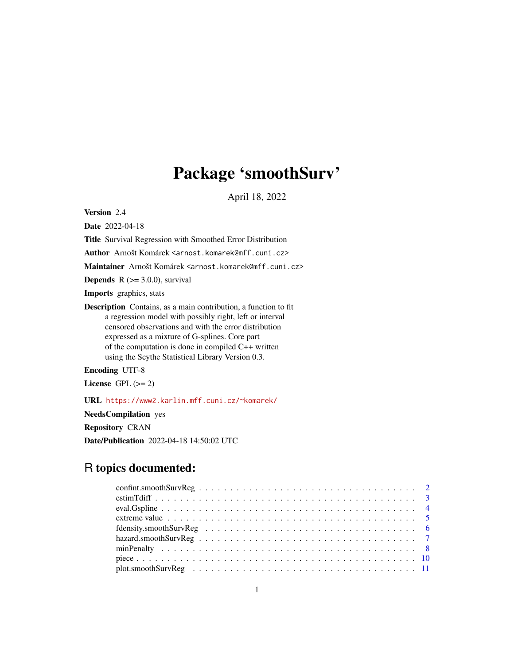# Package 'smoothSurv'

April 18, 2022

<span id="page-0-0"></span>Version 2.4

Date 2022-04-18

Title Survival Regression with Smoothed Error Distribution

Author Arnošt Komárek <arnost.komarek@mff.cuni.cz>

Maintainer Arnošt Komárek <arnost.komarek@mff.cuni.cz>

**Depends**  $R$  ( $> = 3.0.0$ ), survival

Imports graphics, stats

Description Contains, as a main contribution, a function to fit a regression model with possibly right, left or interval censored observations and with the error distribution expressed as a mixture of G-splines. Core part of the computation is done in compiled C++ written using the Scythe Statistical Library Version 0.3.

Encoding UTF-8

License GPL  $(>= 2)$ 

URL <https://www2.karlin.mff.cuni.cz/~komarek/>

NeedsCompilation yes

Repository CRAN

Date/Publication 2022-04-18 14:50:02 UTC

# R topics documented: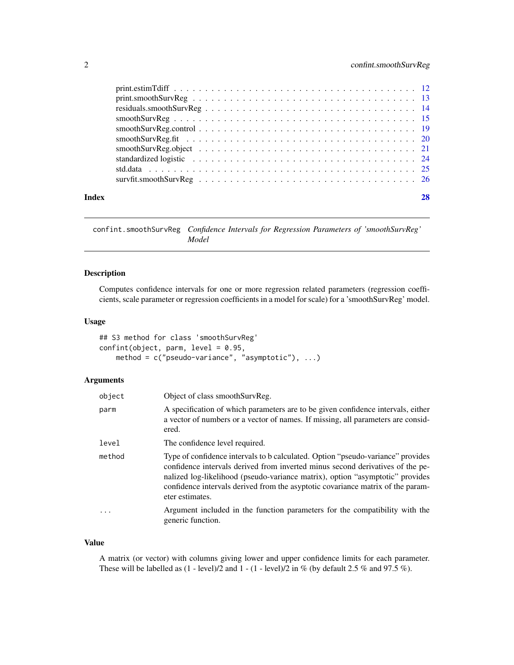<span id="page-1-0"></span>

| Index |  |
|-------|--|
|       |  |
|       |  |
|       |  |
|       |  |
|       |  |
|       |  |
|       |  |
|       |  |
|       |  |
|       |  |

confint.smoothSurvReg *Confidence Intervals for Regression Parameters of 'smoothSurvReg' Model*

# Description

Computes confidence intervals for one or more regression related parameters (regression coefficients, scale parameter or regression coefficients in a model for scale) for a 'smoothSurvReg' model.

#### Usage

## S3 method for class 'smoothSurvReg'  $confint(object, parm, level = 0.95,$ method = c("pseudo-variance", "asymptotic"), ...)

# Arguments

| object | Object of class smoothSurvReg.                                                                                                                                                                                                                                                                                                                           |
|--------|----------------------------------------------------------------------------------------------------------------------------------------------------------------------------------------------------------------------------------------------------------------------------------------------------------------------------------------------------------|
| parm   | A specification of which parameters are to be given confidence intervals, either<br>a vector of numbers or a vector of names. If missing, all parameters are consid-<br>ered.                                                                                                                                                                            |
| level  | The confidence level required.                                                                                                                                                                                                                                                                                                                           |
| method | Type of confidence intervals to b calculated. Option "pseudo-variance" provides<br>confidence intervals derived from inverted minus second derivatives of the pe-<br>nalized log-likelihood (pseudo-variance matrix), option "asymptotic" provides<br>confidence intervals derived from the asyptotic covariance matrix of the param-<br>eter estimates. |
| .      | Argument included in the function parameters for the compatibility with the<br>generic function.                                                                                                                                                                                                                                                         |

#### Value

A matrix (or vector) with columns giving lower and upper confidence limits for each parameter. These will be labelled as  $(1 - level)/2$  and  $1 - (1 - level)/2$  in % (by default 2.5 % and 97.5 %).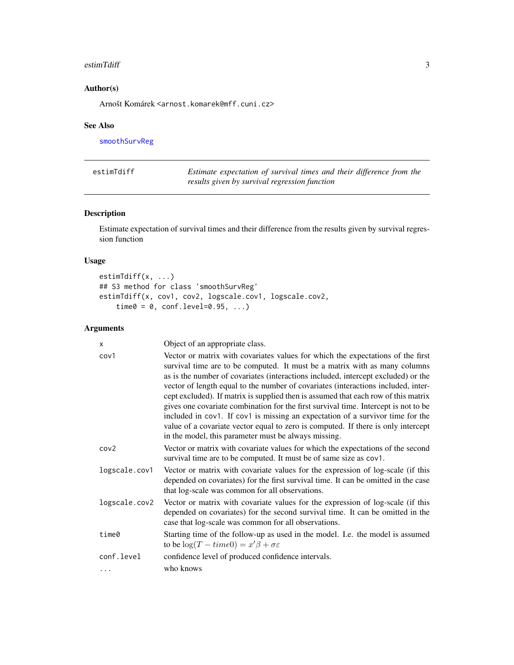#### <span id="page-2-0"></span>estimTdiff 3

# Author(s)

Arnošt Komárek <arnost.komarek@mff.cuni.cz>

#### See Also

[smoothSurvReg](#page-14-1)

| estimTdiff | Estimate expectation of survival times and their difference from the |
|------------|----------------------------------------------------------------------|
|            | results given by survival regression function                        |

# Description

Estimate expectation of survival times and their difference from the results given by survival regression function

# Usage

```
estimTdiff(x, ...)
## S3 method for class 'smoothSurvReg'
estimTdiff(x, cov1, cov2, logscale.cov1, logscale.cov2,
    time0 = 0, conf.level=0.95, ...)
```

| X             | Object of an appropriate class.                                                                                                                                                                                                                                                                                                                                                                                                                                                                                                                                                                                                                                                                                                                     |
|---------------|-----------------------------------------------------------------------------------------------------------------------------------------------------------------------------------------------------------------------------------------------------------------------------------------------------------------------------------------------------------------------------------------------------------------------------------------------------------------------------------------------------------------------------------------------------------------------------------------------------------------------------------------------------------------------------------------------------------------------------------------------------|
| cov1          | Vector or matrix with covariates values for which the expectations of the first<br>survival time are to be computed. It must be a matrix with as many columns<br>as is the number of covariates (interactions included, intercept excluded) or the<br>vector of length equal to the number of covariates (interactions included, inter-<br>cept excluded). If matrix is supplied then is assumed that each row of this matrix<br>gives one covariate combination for the first survival time. Intercept is not to be<br>included in cov1. If cov1 is missing an expectation of a survivor time for the<br>value of a covariate vector equal to zero is computed. If there is only intercept<br>in the model, this parameter must be always missing. |
| cov2          | Vector or matrix with covariate values for which the expectations of the second<br>survival time are to be computed. It must be of same size as cov1.                                                                                                                                                                                                                                                                                                                                                                                                                                                                                                                                                                                               |
| logscale.cov1 | Vector or matrix with covariate values for the expression of log-scale (if this<br>depended on covariates) for the first survival time. It can be omitted in the case<br>that log-scale was common for all observations.                                                                                                                                                                                                                                                                                                                                                                                                                                                                                                                            |
| logscale.cov2 | Vector or matrix with covariate values for the expression of log-scale (if this<br>depended on covariates) for the second survival time. It can be omitted in the<br>case that log-scale was common for all observations.                                                                                                                                                                                                                                                                                                                                                                                                                                                                                                                           |
| time0         | Starting time of the follow-up as used in the model. I.e. the model is assumed<br>to be $\log(T - time0) = x'\beta + \sigma \varepsilon$                                                                                                                                                                                                                                                                                                                                                                                                                                                                                                                                                                                                            |
| conf.level    | confidence level of produced confidence intervals.                                                                                                                                                                                                                                                                                                                                                                                                                                                                                                                                                                                                                                                                                                  |
|               | who knows                                                                                                                                                                                                                                                                                                                                                                                                                                                                                                                                                                                                                                                                                                                                           |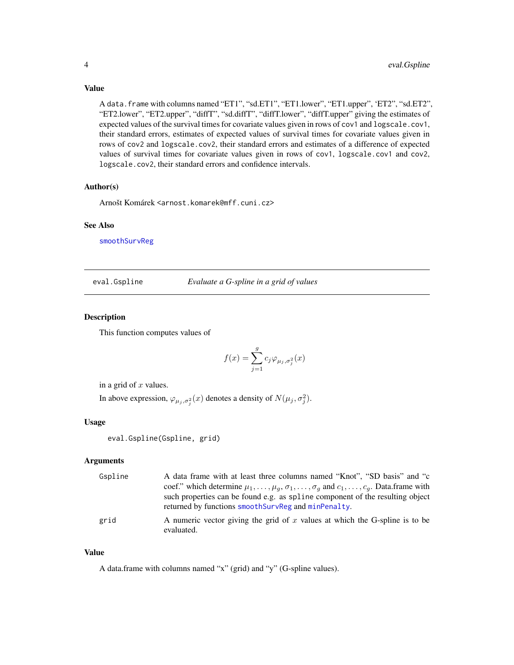#### <span id="page-3-0"></span>Value

A data.frame with columns named "ET1", "sd.ET1", "ET1.lower", "ET1.upper", 'ET2", "sd.ET2", "ET2.lower", "ET2.upper", "diffT", "sd.diffT", "diffT.lower", "diffT.upper" giving the estimates of expected values of the survival times for covariate values given in rows of cov1 and logscale.cov1, their standard errors, estimates of expected values of survival times for covariate values given in rows of cov2 and logscale.cov2, their standard errors and estimates of a difference of expected values of survival times for covariate values given in rows of cov1, logscale.cov1 and cov2, logscale.cov2, their standard errors and confidence intervals.

#### Author(s)

Arnošt Komárek <arnost.komarek@mff.cuni.cz>

#### See Also

[smoothSurvReg](#page-14-1)

<span id="page-3-1"></span>eval.Gspline *Evaluate a G-spline in a grid of values*

#### Description

This function computes values of

$$
f(x) = \sum_{j=1}^{g} c_j \varphi_{\mu_j, \sigma_j^2}(x)
$$

in a grid of  $x$  values.

In above expression,  $\varphi_{\mu_j, \sigma_j^2}(x)$  denotes a density of  $N(\mu_j, \sigma_j^2)$ .

#### Usage

eval.Gspline(Gspline, grid)

#### Arguments

| Gspline | A data frame with at least three columns named "Knot", "SD basis" and "c                                                             |
|---------|--------------------------------------------------------------------------------------------------------------------------------------|
|         | coef." which determine $\mu_1, \ldots, \mu_q, \sigma_1, \ldots, \sigma_q$ and $c_1, \ldots, c_q$ . Data frame with                   |
|         | such properties can be found e.g. as spline component of the resulting object<br>returned by functions smoothSurvReg and minPenalty. |
| grid    | A numeric vector giving the grid of x values at which the G-spline is to be<br>evaluated.                                            |

#### Value

A data.frame with columns named "x" (grid) and "y" (G-spline values).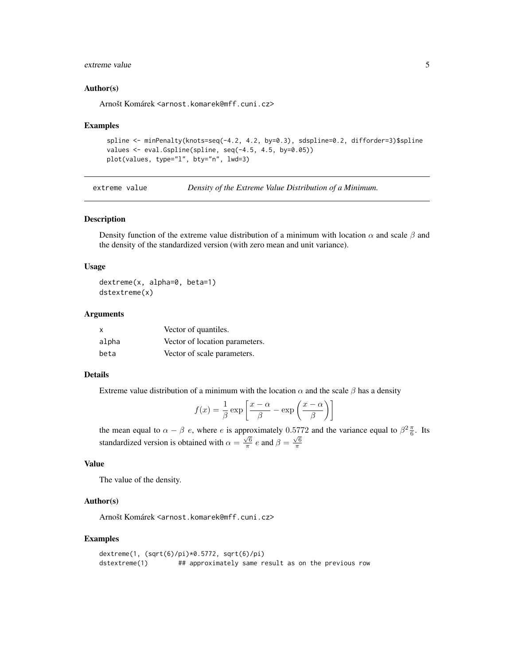# <span id="page-4-0"></span>extreme value 5

#### Author(s)

Arnošt Komárek <arnost.komarek@mff.cuni.cz>

#### Examples

```
spline <- minPenalty(knots=seq(-4.2, 4.2, by=0.3), sdspline=0.2, difforder=3)$spline
values <- eval.Gspline(spline, seq(-4.5, 4.5, by=0.05))
plot(values, type="l", bty="n", lwd=3)
```
extreme value *Density of the Extreme Value Distribution of a Minimum.*

#### Description

Density function of the extreme value distribution of a minimum with location  $\alpha$  and scale  $\beta$  and the density of the standardized version (with zero mean and unit variance).

#### Usage

dextreme(x, alpha=0, beta=1) dstextreme(x)

#### Arguments

| $\mathsf{x}$ | Vector of quantiles.           |
|--------------|--------------------------------|
| alpha        | Vector of location parameters. |
| beta         | Vector of scale parameters.    |

# Details

Extreme value distribution of a minimum with the location  $\alpha$  and the scale  $\beta$  has a density

$$
f(x) = \frac{1}{\beta} \exp\left[\frac{x - \alpha}{\beta} - \exp\left(\frac{x - \alpha}{\beta}\right)\right]
$$

the mean equal to  $\alpha - \beta e$ , where e is approximately 0.5772 and the variance equal to  $\beta^2 \frac{\pi}{6}$ . Its standardized version is obtained with  $\alpha = \frac{\sqrt{6}}{\pi} e$  and  $\beta = \frac{\sqrt{6}}{\pi}$ 

# Value

The value of the density.

#### Author(s)

Arnošt Komárek <arnost.komarek@mff.cuni.cz>

#### Examples

```
dextreme(1, (sqrt(6)/pi)*0.5772, sqrt(6)/pi)
dstextreme(1) ## approximately same result as on the previous row
```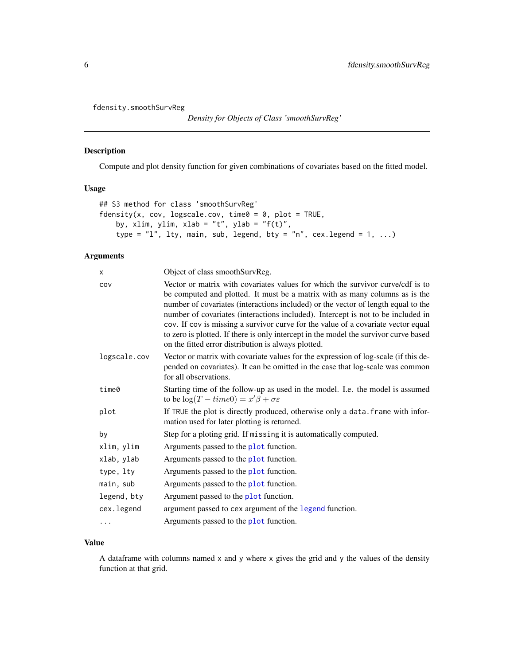```
fdensity.smoothSurvReg
```
*Density for Objects of Class 'smoothSurvReg'*

# Description

Compute and plot density function for given combinations of covariates based on the fitted model.

# Usage

```
## S3 method for class 'smoothSurvReg'
fdensity(x, cov, logscale.cov, time0 = 0, plot = TRUE,
   by, xlim, ylim, xlab = "t", ylab = "f(t)",
   type = "l", lty, main, sub, legend, bty = "n", cex.legend = 1, ...)
```
# Arguments

| X            | Object of class smoothSurvReg.                                                                                                                                                                                                                                                                                                                                                                                                                                                                                                                                             |
|--------------|----------------------------------------------------------------------------------------------------------------------------------------------------------------------------------------------------------------------------------------------------------------------------------------------------------------------------------------------------------------------------------------------------------------------------------------------------------------------------------------------------------------------------------------------------------------------------|
| COV          | Vector or matrix with covariates values for which the survivor curve/cdf is to<br>be computed and plotted. It must be a matrix with as many columns as is the<br>number of covariates (interactions included) or the vector of length equal to the<br>number of covariates (interactions included). Intercept is not to be included in<br>cov. If cov is missing a survivor curve for the value of a covariate vector equal<br>to zero is plotted. If there is only intercept in the model the survivor curve based<br>on the fitted error distribution is always plotted. |
| logscale.cov | Vector or matrix with covariate values for the expression of log-scale (if this de-<br>pended on covariates). It can be omitted in the case that log-scale was common<br>for all observations.                                                                                                                                                                                                                                                                                                                                                                             |
| time0        | Starting time of the follow-up as used in the model. I.e. the model is assumed<br>to be $\log(T - time0) = x'\beta + \sigma \varepsilon$                                                                                                                                                                                                                                                                                                                                                                                                                                   |
| plot         | If TRUE the plot is directly produced, otherwise only a data. frame with infor-<br>mation used for later plotting is returned.                                                                                                                                                                                                                                                                                                                                                                                                                                             |
| by           | Step for a ploting grid. If missing it is automatically computed.                                                                                                                                                                                                                                                                                                                                                                                                                                                                                                          |
| xlim, ylim   | Arguments passed to the plot function.                                                                                                                                                                                                                                                                                                                                                                                                                                                                                                                                     |
| xlab, ylab   | Arguments passed to the plot function.                                                                                                                                                                                                                                                                                                                                                                                                                                                                                                                                     |
| type, lty    | Arguments passed to the plot function.                                                                                                                                                                                                                                                                                                                                                                                                                                                                                                                                     |
| main, sub    | Arguments passed to the plot function.                                                                                                                                                                                                                                                                                                                                                                                                                                                                                                                                     |
| legend, bty  | Argument passed to the plot function.                                                                                                                                                                                                                                                                                                                                                                                                                                                                                                                                      |
| cex.legend   | argument passed to cex argument of the legend function.                                                                                                                                                                                                                                                                                                                                                                                                                                                                                                                    |
| .            | Arguments passed to the plot function.                                                                                                                                                                                                                                                                                                                                                                                                                                                                                                                                     |

#### Value

A dataframe with columns named x and y where x gives the grid and y the values of the density function at that grid.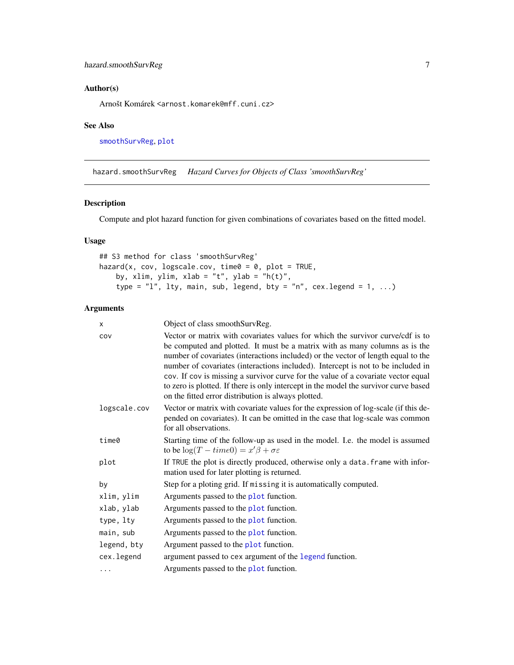# <span id="page-6-0"></span>Author(s)

Arnošt Komárek <arnost.komarek@mff.cuni.cz>

#### See Also

[smoothSurvReg](#page-14-1), [plot](#page-0-0)

hazard.smoothSurvReg *Hazard Curves for Objects of Class 'smoothSurvReg'*

# Description

Compute and plot hazard function for given combinations of covariates based on the fitted model.

# Usage

```
## S3 method for class 'smoothSurvReg'
hazard(x, cov, logscale.cov, time0 = 0, plot = TRUE,
   by, xlim, ylim, xlab = "t", ylab = "h(t)",
    type = "l", lty, main, sub, legend, bty = "n", cex.legend = 1, ...)
```

| x            | Object of class smoothSurvReg.                                                                                                                                                                                                                                                                                                                                                                                                                                                                                                                                             |  |
|--------------|----------------------------------------------------------------------------------------------------------------------------------------------------------------------------------------------------------------------------------------------------------------------------------------------------------------------------------------------------------------------------------------------------------------------------------------------------------------------------------------------------------------------------------------------------------------------------|--|
| COV          | Vector or matrix with covariates values for which the survivor curve/cdf is to<br>be computed and plotted. It must be a matrix with as many columns as is the<br>number of covariates (interactions included) or the vector of length equal to the<br>number of covariates (interactions included). Intercept is not to be included in<br>cov. If cov is missing a survivor curve for the value of a covariate vector equal<br>to zero is plotted. If there is only intercept in the model the survivor curve based<br>on the fitted error distribution is always plotted. |  |
| logscale.cov | Vector or matrix with covariate values for the expression of log-scale (if this de-<br>pended on covariates). It can be omitted in the case that log-scale was common<br>for all observations.                                                                                                                                                                                                                                                                                                                                                                             |  |
| time0        | Starting time of the follow-up as used in the model. I.e. the model is assumed<br>to be $\log(T - time0) = x'\beta + \sigma \varepsilon$                                                                                                                                                                                                                                                                                                                                                                                                                                   |  |
| plot         | If TRUE the plot is directly produced, otherwise only a data. frame with infor-<br>mation used for later plotting is returned.                                                                                                                                                                                                                                                                                                                                                                                                                                             |  |
| by           | Step for a ploting grid. If missing it is automatically computed.                                                                                                                                                                                                                                                                                                                                                                                                                                                                                                          |  |
| xlim, ylim   | Arguments passed to the plot function.                                                                                                                                                                                                                                                                                                                                                                                                                                                                                                                                     |  |
| xlab, ylab   | Arguments passed to the plot function.                                                                                                                                                                                                                                                                                                                                                                                                                                                                                                                                     |  |
| type, lty    | Arguments passed to the plot function.                                                                                                                                                                                                                                                                                                                                                                                                                                                                                                                                     |  |
| main, sub    | Arguments passed to the plot function.                                                                                                                                                                                                                                                                                                                                                                                                                                                                                                                                     |  |
| legend, bty  | Argument passed to the plot function.                                                                                                                                                                                                                                                                                                                                                                                                                                                                                                                                      |  |
| cex.legend   | argument passed to cex argument of the legend function.                                                                                                                                                                                                                                                                                                                                                                                                                                                                                                                    |  |
| .            | Arguments passed to the plot function.                                                                                                                                                                                                                                                                                                                                                                                                                                                                                                                                     |  |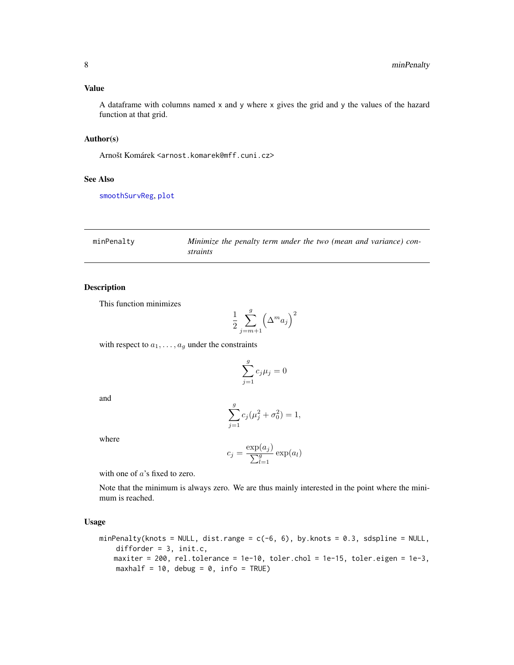#### <span id="page-7-0"></span>Value

A dataframe with columns named x and y where x gives the grid and y the values of the hazard function at that grid.

#### Author(s)

Arnošt Komárek <arnost.komarek@mff.cuni.cz>

#### See Also

[smoothSurvReg](#page-14-1), [plot](#page-0-0)

<span id="page-7-1"></span>

| minPenalty | Minimize the penalty term under the two (mean and variance) con- |
|------------|------------------------------------------------------------------|
|            | straints                                                         |

#### Description

This function minimizes

$$
\frac{1}{2} \sum_{j=m+1}^{g} \left(\Delta^m a_j\right)^2
$$

with respect to  $a_1, \ldots, a_g$  under the constraints

$$
\sum_{j=1}^{g} c_j \mu_j = 0
$$

and

$$
\sum_{j=1}^{g} c_j (\mu_j^2 + \sigma_0^2) = 1,
$$

where

$$
c_j = \frac{\exp(a_j)}{\sum_{l=1}^g \exp(a_l)}
$$

with one of  $a$ 's fixed to zero.

Note that the minimum is always zero. We are thus mainly interested in the point where the minimum is reached.

# Usage

```
minPenalty(knots = NULL, dist.range = c(-6, 6), by.knots = 0.3, sdspline = NULL,
   difforder = 3, init.c,
   maxiter = 200, rel.tolerance = 1e-10, toler.chol = 1e-15, toler.eigen = 1e-3,
   maxhalf = 10, debug = 0, info = TRUE)
```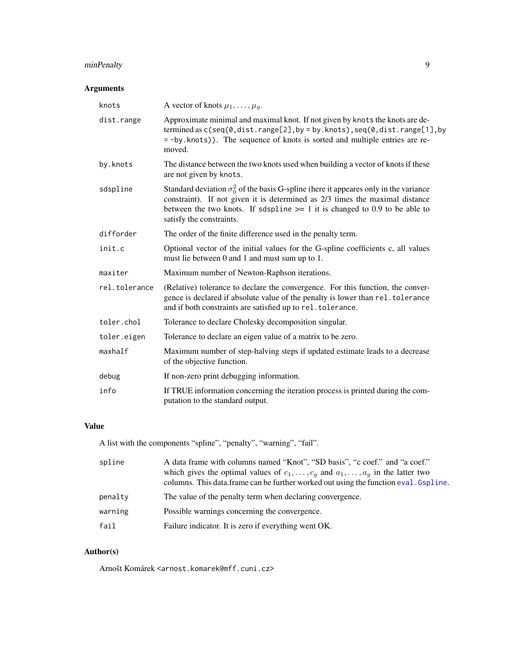# <span id="page-8-0"></span>minPenalty 9

# Arguments

| knots         | A vector of knots $\mu_1, \ldots, \mu_g$ .                                                                                                                                                                                                                                                  |  |
|---------------|---------------------------------------------------------------------------------------------------------------------------------------------------------------------------------------------------------------------------------------------------------------------------------------------|--|
| dist.range    | Approximate minimal and maximal knot. If not given by knots the knots are de-<br>termined as c(seq(0,dist.range[2],by = by.knots), seq(0,dist.range[1], by<br>= -by.knots)). The sequence of knots is sorted and multiple entries are re-<br>moved.                                         |  |
| by.knots      | The distance between the two knots used when building a vector of knots if these<br>are not given by knots.                                                                                                                                                                                 |  |
| sdspline      | Standard deviation $\sigma_0^2$ of the basis G-spline (here it appeares only in the variance<br>constraint). If not given it is determined as 2/3 times the maximal distance<br>between the two knots. If sdspline $\ge$ = 1 it is changed to 0.9 to be able to<br>satisfy the constraints. |  |
| difforder     | The order of the finite difference used in the penalty term.                                                                                                                                                                                                                                |  |
| init.c        | Optional vector of the initial values for the G-spline coefficients c, all values<br>must lie between 0 and 1 and must sum up to 1.                                                                                                                                                         |  |
| maxiter       | Maximum number of Newton-Raphson iterations.                                                                                                                                                                                                                                                |  |
| rel.tolerance | (Relative) tolerance to declare the convergence. For this function, the conver-<br>gence is declared if absolute value of the penalty is lower than rel. tolerance<br>and if both constraints are satisfied up to rel. tolerance.                                                           |  |
| toler.chol    | Tolerance to declare Cholesky decomposition singular.                                                                                                                                                                                                                                       |  |
| toler.eigen   | Tolerance to declare an eigen value of a matrix to be zero.                                                                                                                                                                                                                                 |  |
| maxhalf       | Maximum number of step-halving steps if updated estimate leads to a decrease<br>of the objective function.                                                                                                                                                                                  |  |
| debug         | If non-zero print debugging information.                                                                                                                                                                                                                                                    |  |
| info          | If TRUE information concerning the iteration process is printed during the com-<br>putation to the standard output.                                                                                                                                                                         |  |

# Value

A list with the components "spline", "penalty", "warning", "fail".

| spline  | A data frame with columns named "Knot", "SD basis", "c coef." and "a coef."<br>which gives the optimal values of $c_1, \ldots, c_g$ and $a_1, \ldots, a_g$ in the latter two<br>columns. This data frame can be further worked out using the function eval. Gspline. |
|---------|----------------------------------------------------------------------------------------------------------------------------------------------------------------------------------------------------------------------------------------------------------------------|
| penalty | The value of the penalty term when declaring convergence.                                                                                                                                                                                                            |
| warning | Possible warnings concerning the convergence.                                                                                                                                                                                                                        |
| fail    | Failure indicator. It is zero if everything went OK.                                                                                                                                                                                                                 |

# Author(s)

Arnošt Komárek <arnost.komarek@mff.cuni.cz>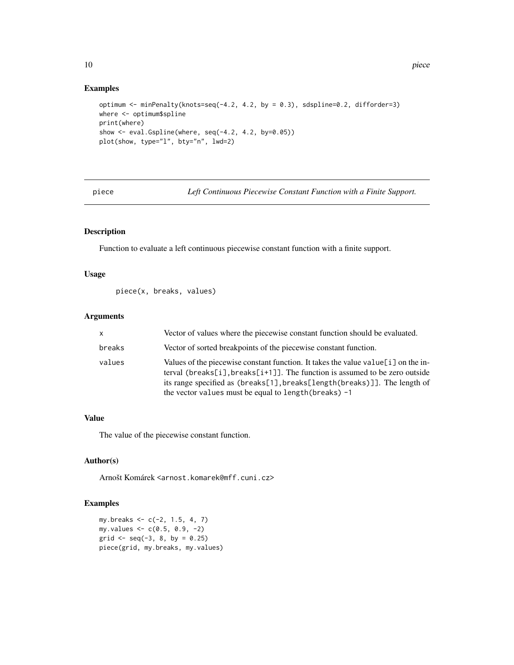# Examples

```
optimum <- minPenalty(knots=seq(-4.2, 4.2, by = 0.3), sdspline=0.2, difforder=3)
where <- optimum$spline
print(where)
show <- eval.Gspline(where, seq(-4.2, 4.2, by=0.05))
plot(show, type="l", bty="n", lwd=2)
```
piece *Left Continuous Piecewise Constant Function with a Finite Support.*

# Description

Function to evaluate a left continuous piecewise constant function with a finite support.

# Usage

```
piece(x, breaks, values)
```
#### Arguments

| $\mathsf{x}$ | Vector of values where the piecewise constant function should be evaluated.                                                                                                                                                                                                                                 |
|--------------|-------------------------------------------------------------------------------------------------------------------------------------------------------------------------------------------------------------------------------------------------------------------------------------------------------------|
| breaks       | Vector of sorted breakpoints of the piecewise constant function.                                                                                                                                                                                                                                            |
| values       | Values of the piecewise constant function. It takes the value value $[i]$ on the in-<br>terval (breaks[i], breaks[i+1]]. The function is assumed to be zero outside<br>its range specified as (breaks[1], breaks[length(breaks)]]. The length of<br>the vector values must be equal to length (breaks) $-1$ |

#### Value

The value of the piecewise constant function.

## Author(s)

Arnošt Komárek <arnost.komarek@mff.cuni.cz>

# Examples

my.breaks <- c(-2, 1.5, 4, 7) my.values <- c(0.5, 0.9, -2) grid  $\leq$  seq(-3, 8, by = 0.25) piece(grid, my.breaks, my.values)

<span id="page-9-0"></span>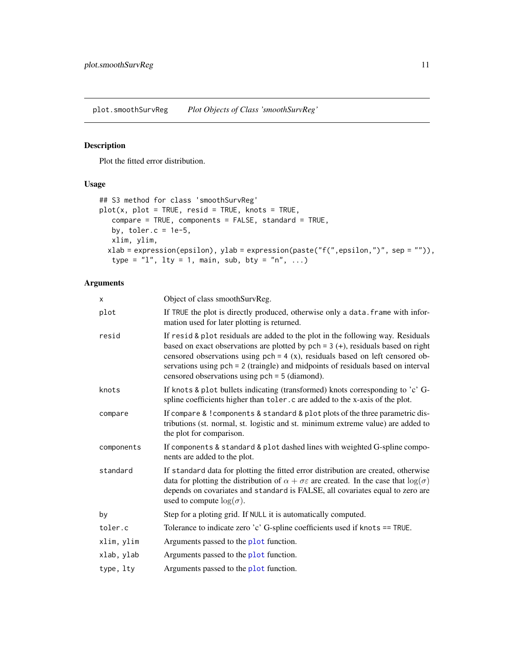<span id="page-10-0"></span>plot.smoothSurvReg *Plot Objects of Class 'smoothSurvReg'*

# Description

Plot the fitted error distribution.

# Usage

```
## S3 method for class 'smoothSurvReg'
plot(x, plot = TRUE, result = TRUE, knots = TRUE,compare = TRUE, components = FALSE, standard = TRUE,
   by, toler.c = 1e-5,
   xlim, ylim,
  xlab = expression(epsilon), ylab = expression(paste("f(",epsilon,")", sep = "")),
   type = "l", lty = 1, main, sub, bty = "n", ...)
```

| X          | Object of class smoothSurvReg.                                                                                                                                                                                                                                                                                                                                                                  |
|------------|-------------------------------------------------------------------------------------------------------------------------------------------------------------------------------------------------------------------------------------------------------------------------------------------------------------------------------------------------------------------------------------------------|
| plot       | If TRUE the plot is directly produced, otherwise only a data. frame with infor-<br>mation used for later plotting is returned.                                                                                                                                                                                                                                                                  |
| resid      | If resid & plot residuals are added to the plot in the following way. Residuals<br>based on exact observations are plotted by $pch = 3 (+)$ , residuals based on right<br>censored observations using $pch = 4(x)$ , residuals based on left censored ob-<br>servations using pch = 2 (traingle) and midpoints of residuals based on interval<br>censored observations using pch = 5 (diamond). |
| knots      | If knots & plot bullets indicating (transformed) knots corresponding to 'c' G-<br>spline coefficients higher than toler.c are added to the x-axis of the plot.                                                                                                                                                                                                                                  |
| compare    | If compare & ! components & standard & plot plots of the three parametric dis-<br>tributions (st. normal, st. logistic and st. minimum extreme value) are added to<br>the plot for comparison.                                                                                                                                                                                                  |
| components | If components & standard & plot dashed lines with weighted G-spline compo-<br>nents are added to the plot.                                                                                                                                                                                                                                                                                      |
| standard   | If standard data for plotting the fitted error distribution are created, otherwise<br>data for plotting the distribution of $\alpha + \sigma \varepsilon$ are created. In the case that $\log(\sigma)$<br>depends on covariates and standard is FALSE, all covariates equal to zero are<br>used to compute $log(\sigma)$ .                                                                      |
| by         | Step for a ploting grid. If NULL it is automatically computed.                                                                                                                                                                                                                                                                                                                                  |
| toler.c    | Tolerance to indicate zero 'c' G-spline coefficients used if knots == TRUE.                                                                                                                                                                                                                                                                                                                     |
| xlim, ylim | Arguments passed to the plot function.                                                                                                                                                                                                                                                                                                                                                          |
| xlab, ylab | Arguments passed to the plot function.                                                                                                                                                                                                                                                                                                                                                          |
| type, lty  | Arguments passed to the plot function.                                                                                                                                                                                                                                                                                                                                                          |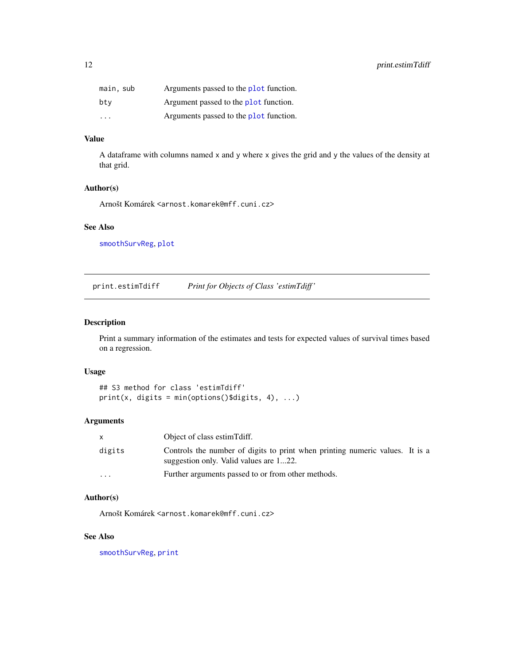<span id="page-11-0"></span>

| main, sub               | Arguments passed to the plot function. |
|-------------------------|----------------------------------------|
| btv                     | Argument passed to the plot function.  |
| $\cdot$ $\cdot$ $\cdot$ | Arguments passed to the plot function. |

# Value

A dataframe with columns named x and y where x gives the grid and y the values of the density at that grid.

#### Author(s)

Arnošt Komárek <arnost.komarek@mff.cuni.cz>

# See Also

[smoothSurvReg](#page-14-1), [plot](#page-0-0)

print.estimTdiff *Print for Objects of Class 'estimTdiff '*

# Description

Print a summary information of the estimates and tests for expected values of survival times based on a regression.

# Usage

## S3 method for class 'estimTdiff'  $print(x, digits = min(options() 3 digits, 4), ...)$ 

#### Arguments

| X        | Object of class estim Tdiff.                                                                                           |  |
|----------|------------------------------------------------------------------------------------------------------------------------|--|
| digits   | Controls the number of digits to print when printing numeric values. It is a<br>suggestion only. Valid values are 122. |  |
| $\cdots$ | Further arguments passed to or from other methods.                                                                     |  |

# Author(s)

Arnošt Komárek <arnost.komarek@mff.cuni.cz>

# See Also

[smoothSurvReg](#page-14-1), [print](#page-0-0)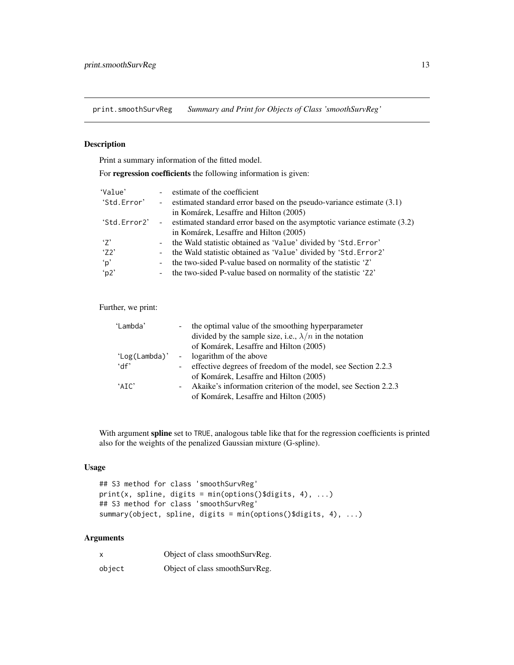<span id="page-12-0"></span>print.smoothSurvReg *Summary and Print for Objects of Class 'smoothSurvReg'*

# Description

Print a summary information of the fitted model.

For regression coefficients the following information is given:

| 'Value'      | estimate of the coefficient                                                            |
|--------------|----------------------------------------------------------------------------------------|
| 'Std.Error'  | - estimated standard error based on the pseudo-variance estimate $(3.1)$               |
|              | in Komárek, Lesaffre and Hilton (2005)                                                 |
| 'Std.Error2' | estimated standard error based on the asymptotic variance estimate (3.2)<br>$\sim 100$ |
|              | in Komárek, Lesaffre and Hilton (2005)                                                 |
| $\cdot$ 7'   | the Wald statistic obtained as 'Value' divided by 'Std. Error'                         |
| '72'         | the Wald statistic obtained as 'Value' divided by 'Std. Error2'                        |
| ʻp'          | the two-sided P-value based on normality of the statistic 'Z'                          |
| 'p2'         | the two-sided P-value based on normality of the statistic 'Z2'                         |

Further, we print:

| 'Lambda' | $\sim$           | the optimal value of the smoothing hyperparameter              |
|----------|------------------|----------------------------------------------------------------|
|          |                  | divided by the sample size, i.e., $\lambda/n$ in the notation  |
|          |                  | of Komárek, Lesaffre and Hilton (2005)                         |
|          |                  | 'Log(Lambda)' - logarithm of the above                         |
| 'df'     |                  | - effective degrees of freedom of the model, see Section 2.2.3 |
|          |                  | of Komárek, Lesaffre and Hilton (2005)                         |
| $'$ AIC' | $\sim$ 100 $\mu$ | Akaike's information criterion of the model, see Section 2.2.3 |
|          |                  | of Komárek, Lesaffre and Hilton (2005)                         |

With argument spline set to TRUE, analogous table like that for the regression coefficients is printed also for the weights of the penalized Gaussian mixture (G-spline).

# Usage

```
## S3 method for class 'smoothSurvReg'
print(x, spline, digits = min(options()$digits, 4), ...)
## S3 method for class 'smoothSurvReg'
summary(object, spline, digits = min(options()$digits, 4), ...)
```

| X      | Object of class smoothSurvReg. |
|--------|--------------------------------|
| object | Object of class smoothSurvReg. |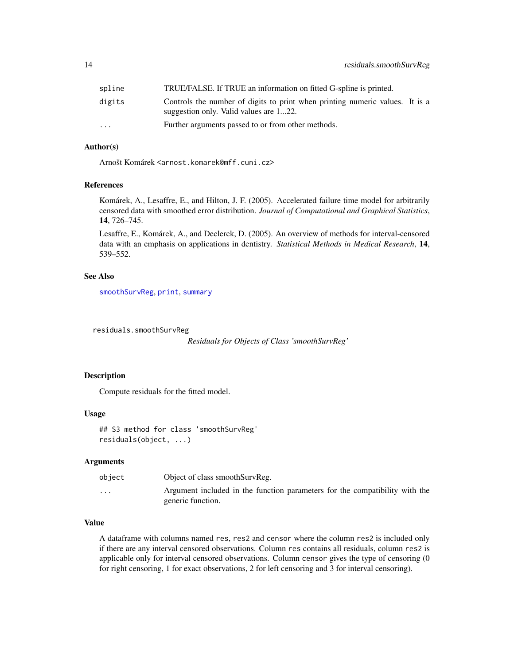<span id="page-13-0"></span>

| spline                  | TRUE/FALSE. If TRUE an information on fitted G-spline is printed.                                                      |
|-------------------------|------------------------------------------------------------------------------------------------------------------------|
| digits                  | Controls the number of digits to print when printing numeric values. It is a<br>suggestion only. Valid values are 122. |
| $\cdot$ $\cdot$ $\cdot$ | Further arguments passed to or from other methods.                                                                     |

# Author(s)

Arnošt Komárek <arnost.komarek@mff.cuni.cz>

# References

Komárek, A., Lesaffre, E., and Hilton, J. F. (2005). Accelerated failure time model for arbitrarily censored data with smoothed error distribution. *Journal of Computational and Graphical Statistics*, 14, 726–745.

Lesaffre, E., Komárek, A., and Declerck, D. (2005). An overview of methods for interval-censored data with an emphasis on applications in dentistry. *Statistical Methods in Medical Research*, 14, 539–552.

#### See Also

[smoothSurvReg](#page-14-1), [print](#page-0-0), [summary](#page-0-0)

residuals.smoothSurvReg

*Residuals for Objects of Class 'smoothSurvReg'*

#### Description

Compute residuals for the fitted model.

#### Usage

```
## S3 method for class 'smoothSurvReg'
residuals(object, ...)
```
## Arguments

| object   | Object of class smoothSurvReg.                                                                   |
|----------|--------------------------------------------------------------------------------------------------|
| $\cdots$ | Argument included in the function parameters for the compatibility with the<br>generic function. |

#### Value

A dataframe with columns named res, res2 and censor where the column res2 is included only if there are any interval censored observations. Column res contains all residuals, column res2 is applicable only for interval censored observations. Column censor gives the type of censoring (0 for right censoring, 1 for exact observations, 2 for left censoring and 3 for interval censoring).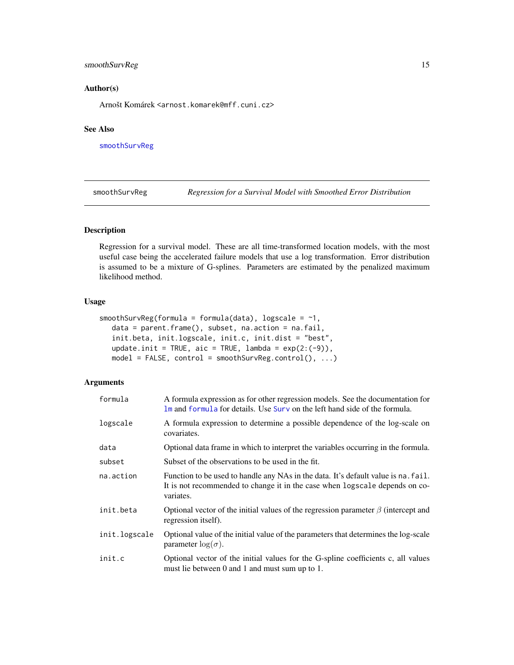# <span id="page-14-0"></span>smoothSurvReg 15

#### Author(s)

Arnošt Komárek <arnost.komarek@mff.cuni.cz>

# See Also

[smoothSurvReg](#page-14-1)

<span id="page-14-1"></span>smoothSurvReg *Regression for a Survival Model with Smoothed Error Distribution*

# Description

Regression for a survival model. These are all time-transformed location models, with the most useful case being the accelerated failure models that use a log transformation. Error distribution is assumed to be a mixture of G-splines. Parameters are estimated by the penalized maximum likelihood method.

# Usage

```
smoothSurvReg(formula = formula(data), logscale = \sim1,
   data = parent.frame(), subset, na.action = na.fail,
  init.beta, init.logscale, init.c, init.dist = "best",
  update.init = TRUE, aic = TRUE, lambda = exp(2:(-9)),
   model = FALSE, control = smoothSurvReg.control(), ...)
```

| formula       | A formula expression as for other regression models. See the documentation for<br>1m and formula for details. Use Surv on the left hand side of the formula.                   |
|---------------|--------------------------------------------------------------------------------------------------------------------------------------------------------------------------------|
| logscale      | A formula expression to determine a possible dependence of the log-scale on<br>covariates.                                                                                     |
| data          | Optional data frame in which to interpret the variables occurring in the formula.                                                                                              |
| subset        | Subset of the observations to be used in the fit.                                                                                                                              |
| na.action     | Function to be used to handle any NAs in the data. It's default value is na. fail.<br>It is not recommended to change it in the case when logscale depends on co-<br>variates. |
| init.beta     | Optional vector of the initial values of the regression parameter $\beta$ (intercept and<br>regression itself).                                                                |
| init.logscale | Optional value of the initial value of the parameters that determines the log-scale<br>parameter $log(\sigma)$ .                                                               |
| init.c        | Optional vector of the initial values for the G-spline coefficients c, all values<br>must lie between 0 and 1 and must sum up to 1.                                            |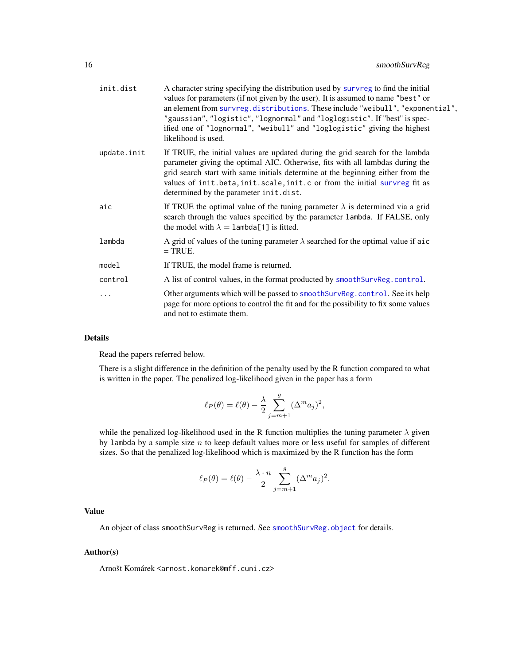<span id="page-15-0"></span>

| init.dist   | A character string specifying the distribution used by survreg to find the initial<br>values for parameters (if not given by the user). It is assumed to name "best" or<br>an element from survreg.distributions. These include "weibull", "exponential",<br>"gaussian", "logistic", "lognormal" and "loglogistic". If "best" is spec-<br>ified one of "lognormal", "weibull" and "loglogistic" giving the highest<br>likelihood is used. |
|-------------|-------------------------------------------------------------------------------------------------------------------------------------------------------------------------------------------------------------------------------------------------------------------------------------------------------------------------------------------------------------------------------------------------------------------------------------------|
| update.init | If TRUE, the initial values are updated during the grid search for the lambda<br>parameter giving the optimal AIC. Otherwise, fits with all lambdas during the<br>grid search start with same initials determine at the beginning either from the<br>values of init.beta, init.scale, init.c or from the initial survreg fit as<br>determined by the parameter init.dist.                                                                 |
| aic         | If TRUE the optimal value of the tuning parameter $\lambda$ is determined via a grid<br>search through the values specified by the parameter lambda. If FALSE, only<br>the model with $\lambda = 1$ ambda [1] is fitted.                                                                                                                                                                                                                  |
| lambda      | A grid of values of the tuning parameter $\lambda$ searched for the optimal value if aic<br>$=$ TRUE.                                                                                                                                                                                                                                                                                                                                     |
| model       | If TRUE, the model frame is returned.                                                                                                                                                                                                                                                                                                                                                                                                     |
| control     | A list of control values, in the format producted by smoothSurvReg.control.                                                                                                                                                                                                                                                                                                                                                               |
| .           | Other arguments which will be passed to smooth SurvReg. control. See its help<br>page for more options to control the fit and for the possibility to fix some values<br>and not to estimate them.                                                                                                                                                                                                                                         |

# Details

Read the papers referred below.

There is a slight difference in the definition of the penalty used by the R function compared to what is written in the paper. The penalized log-likelihood given in the paper has a form

$$
\ell_P(\theta) = \ell(\theta) - \frac{\lambda}{2} \sum_{j=m+1}^g (\Delta^m a_j)^2,
$$

while the penalized log-likelihood used in the R function multiplies the tuning parameter  $\lambda$  given by lambda by a sample size  $n$  to keep default values more or less useful for samples of different sizes. So that the penalized log-likelihood which is maximized by the R function has the form

$$
\ell_P(\theta) = \ell(\theta) - \frac{\lambda \cdot n}{2} \sum_{j=m+1}^g (\Delta^m a_j)^2.
$$

#### Value

An object of class smoothSurvReg is returned. See [smoothSurvReg.object](#page-20-1) for details.

#### Author(s)

Arnošt Komárek <arnost.komarek@mff.cuni.cz>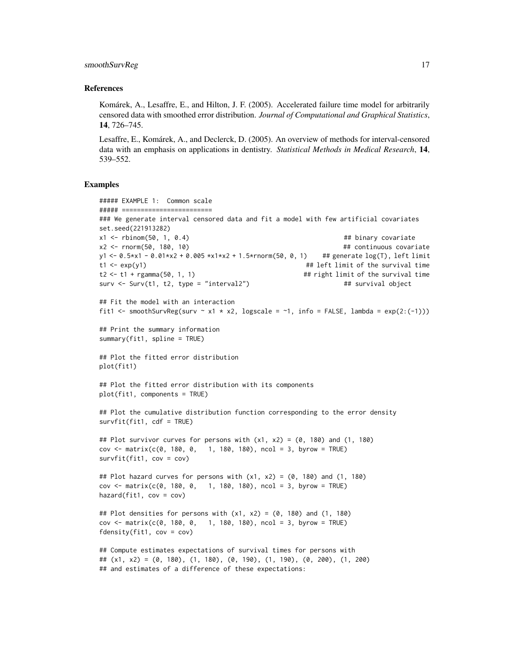#### smoothSurvReg 17

#### References

Komárek, A., Lesaffre, E., and Hilton, J. F. (2005). Accelerated failure time model for arbitrarily censored data with smoothed error distribution. *Journal of Computational and Graphical Statistics*, 14, 726–745.

Lesaffre, E., Komárek, A., and Declerck, D. (2005). An overview of methods for interval-censored data with an emphasis on applications in dentistry. *Statistical Methods in Medical Research*, 14, 539–552.

#### Examples

```
##### EXAMPLE 1: Common scale
##### ========================
### We generate interval censored data and fit a model with few artificial covariates
set.seed(221913282)
x1 <- rbinom(50, 1, 0.4) ## binary covariate
x2 <- rnorm(50, 180, 10) ## continuous covariate
y1 <- 0.5*x1 - 0.01*x2 + 0.005 *x1*x2 + 1.5*rnorm(50, 0, 1) ## generate log(T), left limit
t1 <- exp(y1) \qquad \qquad \qquad \qquad \qquad \qquad \qquad \qquad \qquad \qquad \qquad \qquad \qquad \qquad \qquad \qquad \qquad \qquad \qquad \qquad \qquad \qquad \qquad \qquad \qquad \qquad \qquad \qquad \qquad \qquad \qquad \qquad \qquad \qquad \qquadt2 <- t1 + rgamma(50, 1, 1) \qquad ## right limit of the survival time
surv \le Surv(t1, t2, type = "interval2") \qquad ## survival object
## Fit the model with an interaction
fit1 <- smoothSurvReg(surv ~ x1 * x2, logscale = ~1, info = FALSE, lambda = exp(2:(-1)))## Print the summary information
summary(fit1, spline = TRUE)
## Plot the fitted error distribution
plot(fit1)
## Plot the fitted error distribution with its components
plot(fit1, components = TRUE)
## Plot the cumulative distribution function corresponding to the error density
survfit(fit1, cdf = TRUE)
## Plot survivor curves for persons with (x1, x2) = (0, 180) and (1, 180)
cov \le matrix(c(0, 180, 0, 1, 180, 180), ncol = 3, byrow = TRUE)
survfit(fit1, cov = cov)
## Plot hazard curves for persons with (x1, x2) = (0, 180) and (1, 180)cov <- matrix(c(0, 180, 0, 1, 180, 180), ncol = 3, byrow = TRUE)
hazard(fit1, cov = cov)
## Plot densities for persons with (x1, x2) = (0, 180) and (1, 180)cov \le matrix(c(0, 180, 0, 1, 180, 180), ncol = 3, byrow = TRUE)
fdensity(fit1, cov = cov)
## Compute estimates expectations of survival times for persons with
## (x1, x2) = (0, 180), (1, 180), (0, 190), (1, 190), (0, 200), (1, 200)
## and estimates of a difference of these expectations:
```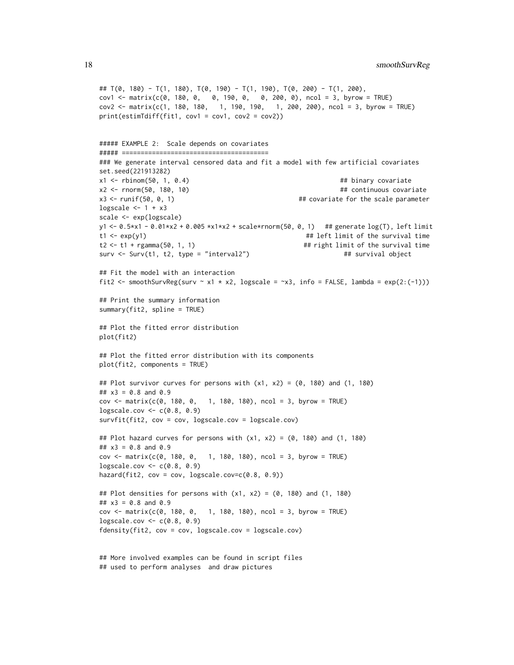18 smoothSurvReg

```
## T(0, 180) - T(1, 180), T(0, 190) - T(1, 190), T(0, 200) - T(1, 200),
cov1 <- matrix(c(0, 180, 0, 0, 190, 0, 0, 200, 0), ncol = 3, byrow = TRUE)
cov2 <- matrix(c(1, 180, 180, 1, 190, 190, 1, 200, 200), ncol = 3, byrow = TRUE)
print(estimTdiff(fitt1, cov1 = cov1, cov2 = cov2))##### EXAMPLE 2: Scale depends on covariates
##### =======================================
### We generate interval censored data and fit a model with few artificial covariates
set.seed(221913282)
x1 <- rbinom(50, 1, 0.4) ## binary covariate
x2 <- rnorm(50, 180, 10) ## continuous covariate
x3 <- runif(50, 0, 1) \# covariate for the scale parameter
logscale <-1 + x3scale <- exp(logscale)
y1 <- 0.5*x1 - 0.01*x2 + 0.005 *x1*x2 + scale*rnorm(50, 0, 1) ## generate log(T), left limit
t1 <- exp(y1) \qquad ## left limit of the survival time
t2 <- t1 + rgamma(50, 1, 1) \qquad ## right limit of the survival time
surv \le Surv(t1, t2, type = "interval2") \qquad ## survival object
## Fit the model with an interaction
fit2 <- smoothSurvReg(surv ~ x1 * x2, logscale = ~x3, info = FALSE, lambda = exp(2:(-1)))## Print the summary information
summary(fit2, spline = TRUE)
## Plot the fitted error distribution
plot(fit2)
## Plot the fitted error distribution with its components
plot(fit2, components = TRUE)
## Plot survivor curves for persons with (x1, x2) = (0, 180) and (1, 180)## x3 = 0.8 and 0.9
cov \le matrix(c(0, 180, 0, 1, 180, 180), ncol = 3, byrow = TRUE)
logscale.cov \leq c(0.8, 0.9)survfit(fit2, cov = cov, logscale.cov = logscale.cov)
## Plot hazard curves for persons with (x1, x2) = (0, 180) and (1, 180)## x3 = 0.8 and 0.9
cov \le matrix(c(0, 180, 0, 1, 180, 180), ncol = 3, byrow = TRUE)
logscale.cov <- c(0.8, 0.9)
hazard(fit2, cov = cov, logscale.cov=c(0.8, 0.9))
## Plot densities for persons with (x1, x2) = (0, 180) and (1, 180)## x3 = 0.8 and 0.9
cov \le matrix(c(0, 180, 0, 1, 180, 180), ncol = 3, byrow = TRUE)
logscale.cov <- c(0.8, 0.9)
fdensity(fit2, cov = cov, logscale.cov = logscale.cov)
```

```
## More involved examples can be found in script files
## used to perform analyses and draw pictures
```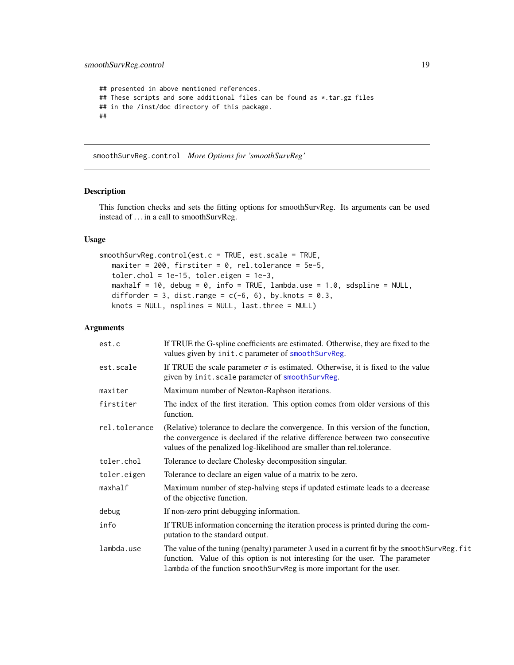```
## presented in above mentioned references.
## These scripts and some additional files can be found as *.tar.gz files
## in the /inst/doc directory of this package.
##
```
<span id="page-18-1"></span>smoothSurvReg.control *More Options for 'smoothSurvReg'*

# Description

This function checks and sets the fitting options for smoothSurvReg. Its arguments can be used instead of . . . in a call to smoothSurvReg.

# Usage

```
smoothSurvReg.control(est.c = TRUE, est.scale = TRUE,
  maxiter = 200, firstiter = 0, rel.tolerance = 5e-5,
  toler.chol = 1e-15, toler.eigen = 1e-3,
  maxhalf = 10, debug = 0, info = TRUE, lambda.use = 1.0, sdspline = NULL,
  difforder = 3, dist.range = c(-6, 6), by.knots = 0.3,
  knots = NULL, nsplines = NULL, last.three = NULL)
```

| est.c         | If TRUE the G-spline coefficients are estimated. Otherwise, they are fixed to the<br>values given by init.c parameter of smoothSurvReg.                                                                                                                         |
|---------------|-----------------------------------------------------------------------------------------------------------------------------------------------------------------------------------------------------------------------------------------------------------------|
| est.scale     | If TRUE the scale parameter $\sigma$ is estimated. Otherwise, it is fixed to the value<br>given by init. scale parameter of smoothSurvReg.                                                                                                                      |
| maxiter       | Maximum number of Newton-Raphson iterations.                                                                                                                                                                                                                    |
| firstiter     | The index of the first iteration. This option comes from older versions of this<br>function.                                                                                                                                                                    |
| rel.tolerance | (Relative) tolerance to declare the convergence. In this version of the function,<br>the convergence is declared if the relative difference between two consecutive<br>values of the penalized log-likelihood are smaller than rel.tolerance.                   |
| toler.chol    | Tolerance to declare Cholesky decomposition singular.                                                                                                                                                                                                           |
| toler.eigen   | Tolerance to declare an eigen value of a matrix to be zero.                                                                                                                                                                                                     |
| maxhalf       | Maximum number of step-halving steps if updated estimate leads to a decrease<br>of the objective function.                                                                                                                                                      |
| debug         | If non-zero print debugging information.                                                                                                                                                                                                                        |
| info          | If TRUE information concerning the iteration process is printed during the com-<br>putation to the standard output.                                                                                                                                             |
| lambda.use    | The value of the tuning (penalty) parameter $\lambda$ used in a current fit by the smooth SurvReg. fit<br>function. Value of this option is not interesting for the user. The parameter<br>lambda of the function smoothSurvReg is more important for the user. |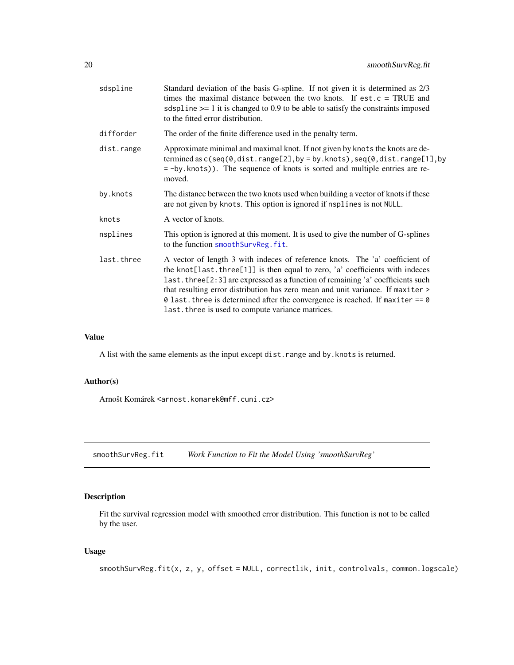<span id="page-19-0"></span>

| sdspline   | Standard deviation of the basis G-spline. If not given it is determined as 2/3<br>times the maximal distance between the two knots. If $est.c = TRUE$ and<br>sdspline $\ge$ = 1 it is changed to 0.9 to be able to satisfy the constraints imposed<br>to the fitted error distribution.                                                                                                                                                                                   |
|------------|---------------------------------------------------------------------------------------------------------------------------------------------------------------------------------------------------------------------------------------------------------------------------------------------------------------------------------------------------------------------------------------------------------------------------------------------------------------------------|
| difforder  | The order of the finite difference used in the penalty term.                                                                                                                                                                                                                                                                                                                                                                                                              |
| dist.range | Approximate minimal and maximal knot. If not given by knots the knots are de-<br>termined as $c$ (seq(0,dist.range[2],by = by.knots),seq(0,dist.range[1],by<br>= -by.knots)). The sequence of knots is sorted and multiple entries are re-<br>moved.                                                                                                                                                                                                                      |
| by.knots   | The distance between the two knots used when building a vector of knots if these<br>are not given by knots. This option is ignored if nsplines is not NULL.                                                                                                                                                                                                                                                                                                               |
| knots      | A vector of knots.                                                                                                                                                                                                                                                                                                                                                                                                                                                        |
| nsplines   | This option is ignored at this moment. It is used to give the number of G-splines<br>to the function smoothSurvReg.fit.                                                                                                                                                                                                                                                                                                                                                   |
| last.three | A vector of length 3 with indeces of reference knots. The 'a' coefficient of<br>the knot[last.three[1]] is then equal to zero, 'a' coefficients with indeces<br>last.three[2:3] are expressed as a function of remaining 'a' coefficients such<br>that resulting error distribution has zero mean and unit variance. If maxiter ><br>0 last. three is determined after the convergence is reached. If maxiter == $0$<br>last. three is used to compute variance matrices. |

# Value

A list with the same elements as the input except dist.range and by.knots is returned.

#### Author(s)

Arnošt Komárek <arnost.komarek@mff.cuni.cz>

<span id="page-19-1"></span>smoothSurvReg.fit *Work Function to Fit the Model Using 'smoothSurvReg'*

# Description

Fit the survival regression model with smoothed error distribution. This function is not to be called by the user.

# Usage

smoothSurvReg.fit(x, z, y, offset = NULL, correctlik, init, controlvals, common.logscale)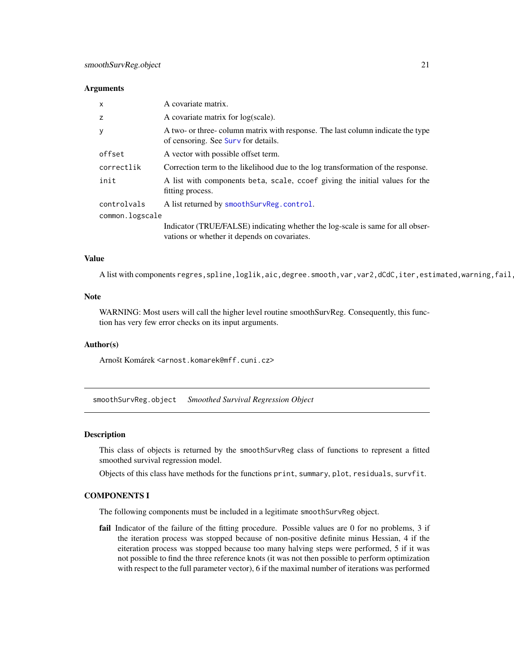#### <span id="page-20-0"></span>**Arguments**

| x               | A covariate matrix.                                                                                                            |  |
|-----------------|--------------------------------------------------------------------------------------------------------------------------------|--|
| Z               | A covariate matrix for log(scale).                                                                                             |  |
| у               | A two- or three- column matrix with response. The last column indicate the type<br>of censoring. See Surv for details.         |  |
| offset          | A vector with possible offset term.                                                                                            |  |
| correctlik      | Correction term to the likelihood due to the log transformation of the response.                                               |  |
| init            | A list with components beta, scale, ccoef giving the initial values for the<br>fitting process.                                |  |
| controlvals     | A list returned by smoothSurvReg.control.                                                                                      |  |
| common.logscale |                                                                                                                                |  |
|                 | Indicator (TRUE/FALSE) indicating whether the log-scale is same for all obser-<br>vations or whether it depends on covariates. |  |

# Value

A list with components regres,spline,loglik,aic,degree.smooth,var,var2,dCdC,iter,estimated,warning,fail

#### Note

WARNING: Most users will call the higher level routine smoothSurvReg. Consequently, this function has very few error checks on its input arguments.

#### Author(s)

Arnošt Komárek <arnost.komarek@mff.cuni.cz>

<span id="page-20-1"></span>smoothSurvReg.object *Smoothed Survival Regression Object*

#### Description

This class of objects is returned by the smoothSurvReg class of functions to represent a fitted smoothed survival regression model.

Objects of this class have methods for the functions print, summary, plot, residuals, survfit.

#### COMPONENTS I

The following components must be included in a legitimate smoothSurvReg object.

fail Indicator of the failure of the fitting procedure. Possible values are 0 for no problems, 3 if the iteration process was stopped because of non-positive definite minus Hessian, 4 if the eiteration process was stopped because too many halving steps were performed, 5 if it was not possible to find the three reference knots (it was not then possible to perform optimization with respect to the full parameter vector), 6 if the maximal number of iterations was performed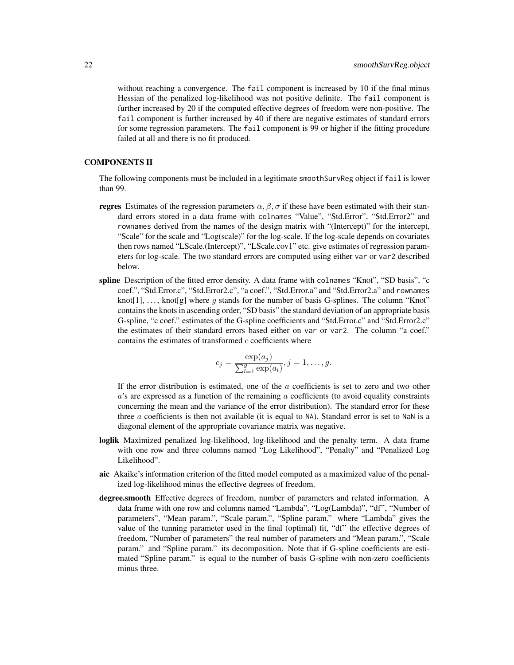without reaching a convergence. The fail component is increased by 10 if the final minus Hessian of the penalized log-likelihood was not positive definite. The fail component is further increased by 20 if the computed effective degrees of freedom were non-positive. The fail component is further increased by 40 if there are negative estimates of standard errors for some regression parameters. The fail component is 99 or higher if the fitting procedure failed at all and there is no fit produced.

# COMPONENTS II

The following components must be included in a legitimate smoothSurvReg object if fail is lower than 99.

- **regres** Estimates of the regression parameters  $\alpha, \beta, \sigma$  if these have been estimated with their standard errors stored in a data frame with colnames "Value", "Std.Error", "Std.Error2" and rownames derived from the names of the design matrix with "(Intercept)" for the intercept, "Scale" for the scale and "Log(scale)" for the log-scale. If the log-scale depends on covariates then rows named "LScale.(Intercept)", "LScale.cov1" etc. give estimates of regression parameters for log-scale. The two standard errors are computed using either var or var2 described below.
- spline Description of the fitted error density. A data frame with colnames "Knot", "SD basis", "c coef.", "Std.Error.c", "Std.Error2.c", "a coef.", "Std.Error.a" and "Std.Error2.a" and rownames knot[1], ..., knot[g] where  $g$  stands for the number of basis G-splines. The column "Knot" contains the knots in ascending order, "SD basis" the standard deviation of an appropriate basis G-spline, "c coef." estimates of the G-spline coefficients and "Std.Error.c" and "Std.Error2.c" the estimates of their standard errors based either on var or var2. The column "a coef." contains the estimates of transformed  $c$  coefficients where

$$
c_j = \frac{\exp(a_j)}{\sum_{l=1}^g \exp(a_l)}, j = 1, ..., g.
$$

If the error distribution is estimated, one of the  $a$  coefficients is set to zero and two other  $a$ 's are expressed as a function of the remaining  $a$  coefficients (to avoid equality constraints concerning the mean and the variance of the error distribution). The standard error for these three  $a$  coefficients is then not available (it is equal to NA). Standard error is set to NaN is a diagonal element of the appropriate covariance matrix was negative.

- loglik Maximized penalized log-likelihood, log-likelihood and the penalty term. A data frame with one row and three columns named "Log Likelihood", "Penalty" and "Penalized Log Likelihood".
- aic Akaike's information criterion of the fitted model computed as a maximized value of the penalized log-likelihood minus the effective degrees of freedom.
- degree.smooth Effective degrees of freedom, number of parameters and related information. A data frame with one row and columns named "Lambda", "Log(Lambda)", "df", "Number of parameters", "Mean param.", "Scale param.", "Spline param." where "Lambda" gives the value of the tunning parameter used in the final (optimal) fit, "df" the effective degrees of freedom, "Number of parameters" the real number of parameters and "Mean param.", "Scale param." and "Spline param." its decomposition. Note that if G-spline coefficients are estimated "Spline param." is equal to the number of basis G-spline with non-zero coefficients minus three.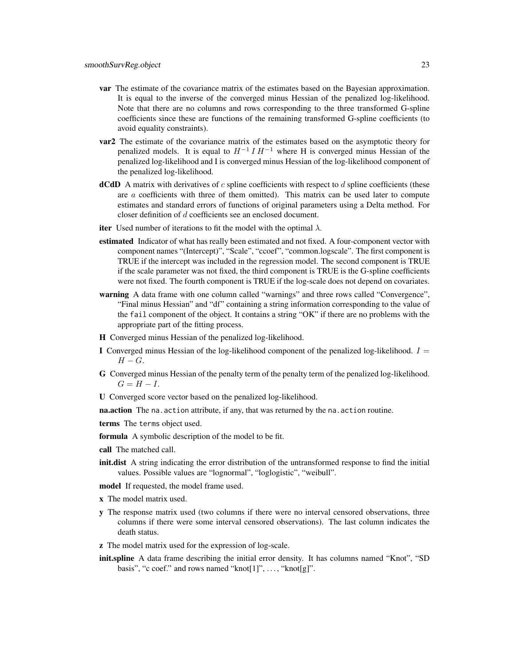- var The estimate of the covariance matrix of the estimates based on the Bayesian approximation. It is equal to the inverse of the converged minus Hessian of the penalized log-likelihood. Note that there are no columns and rows corresponding to the three transformed G-spline coefficients since these are functions of the remaining transformed G-spline coefficients (to avoid equality constraints).
- **var2** The estimate of the covariance matrix of the estimates based on the asymptotic theory for penalized models. It is equal to  $H^{-1} I H^{-1}$  where H is converged minus Hessian of the penalized log-likelihood and I is converged minus Hessian of the log-likelihood component of the penalized log-likelihood.
- **dCdD** A matrix with derivatives of  $c$  spline coefficients with respect to  $d$  spline coefficients (these are  $a$  coefficients with three of them omitted). This matrix can be used later to compute estimates and standard errors of functions of original parameters using a Delta method. For closer definition of d coefficients see an enclosed document.
- iter Used number of iterations to fit the model with the optimal  $\lambda$ .
- estimated Indicator of what has really been estimated and not fixed. A four-component vector with component names "(Intercept)", "Scale", "ccoef", "common.logscale". The first component is TRUE if the intercept was included in the regression model. The second component is TRUE if the scale parameter was not fixed, the third component is TRUE is the G-spline coefficients were not fixed. The fourth component is TRUE if the log-scale does not depend on covariates.
- warning A data frame with one column called "warnings" and three rows called "Convergence", "Final minus Hessian" and "df" containing a string information corresponding to the value of the fail component of the object. It contains a string "OK" if there are no problems with the appropriate part of the fitting process.
- H Converged minus Hessian of the penalized log-likelihood.
- I Converged minus Hessian of the log-likelihood component of the penalized log-likelihood.  $I =$  $H - G$ .
- G Converged minus Hessian of the penalty term of the penalty term of the penalized log-likelihood.  $G = H - I$ .
- U Converged score vector based on the penalized log-likelihood.

**na.action** The na. action attribute, if any, that was returned by the na. action routine.

terms The terms object used.

- formula A symbolic description of the model to be fit.
- call The matched call.
- init.dist A string indicating the error distribution of the untransformed response to find the initial values. Possible values are "lognormal", "loglogistic", "weibull".
- model If requested, the model frame used.
- x The model matrix used.
- y The response matrix used (two columns if there were no interval censored observations, three columns if there were some interval censored observations). The last column indicates the death status.
- z The model matrix used for the expression of log-scale.
- init.spline A data frame describing the initial error density. It has columns named "Knot", "SD basis", "c coef." and rows named "knot[1]", ..., "knot[g]".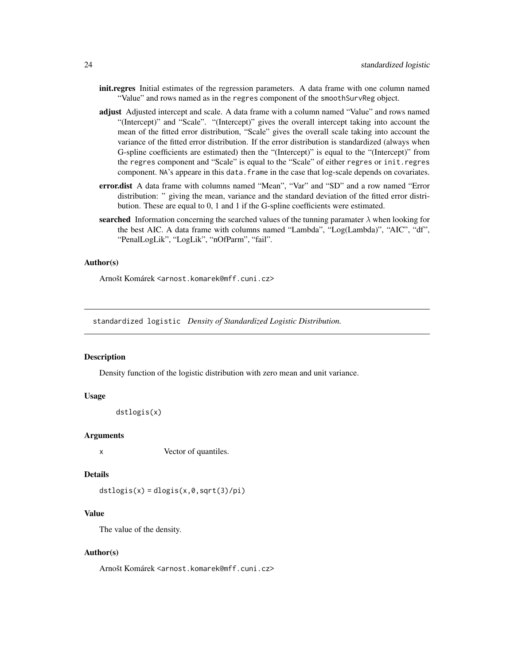- <span id="page-23-0"></span>init.regres Initial estimates of the regression parameters. A data frame with one column named "Value" and rows named as in the regres component of the smoothSurvReg object.
- adjust Adjusted intercept and scale. A data frame with a column named "Value" and rows named "(Intercept)" and "Scale". "(Intercept)" gives the overall intercept taking into account the mean of the fitted error distribution, "Scale" gives the overall scale taking into account the variance of the fitted error distribution. If the error distribution is standardized (always when G-spline coefficients are estimated) then the "(Intercept)" is equal to the "(Intercept)" from the regres component and "Scale" is equal to the "Scale" of either regres or init.regres component. NA's appeare in this data. frame in the case that log-scale depends on covariates.
- error.dist A data frame with columns named "Mean", "Var" and "SD" and a row named "Error distribution: " giving the mean, variance and the standard deviation of the fitted error distribution. These are equal to 0, 1 and 1 if the G-spline coefficients were estimated.
- searched Information concerning the searched values of the tunning paramater  $\lambda$  when looking for the best AIC. A data frame with columns named "Lambda", "Log(Lambda)", "AIC", "df", "PenalLogLik", "LogLik", "nOfParm", "fail".

#### Author(s)

Arnošt Komárek <arnost.komarek@mff.cuni.cz>

standardized logistic *Density of Standardized Logistic Distribution.*

#### Description

Density function of the logistic distribution with zero mean and unit variance.

#### Usage

```
dstlogis(x)
```
#### Arguments

x Vector of quantiles.

#### Details

 $dstlogis(x) = dlogis(x, 0, sqrt(3)/pi)$ 

#### Value

The value of the density.

#### Author(s)

Arnošt Komárek <arnost.komarek@mff.cuni.cz>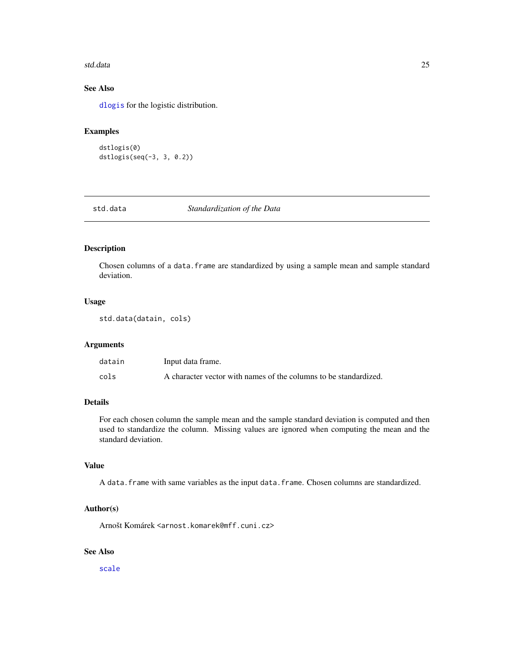#### <span id="page-24-0"></span>std.data 25

# See Also

[dlogis](#page-0-0) for the logistic distribution.

## Examples

```
dstlogis(0)
dstlogis(seq(-3, 3, 0.2))
```
std.data *Standardization of the Data*

# Description

Chosen columns of a data.frame are standardized by using a sample mean and sample standard deviation.

#### Usage

std.data(datain, cols)

#### Arguments

| datain | Input data frame.                                                |
|--------|------------------------------------------------------------------|
| cols   | A character vector with names of the columns to be standardized. |

# Details

For each chosen column the sample mean and the sample standard deviation is computed and then used to standardize the column. Missing values are ignored when computing the mean and the standard deviation.

# Value

A data.frame with same variables as the input data.frame. Chosen columns are standardized.

# Author(s)

Arnošt Komárek <arnost.komarek@mff.cuni.cz>

# See Also

[scale](#page-0-0)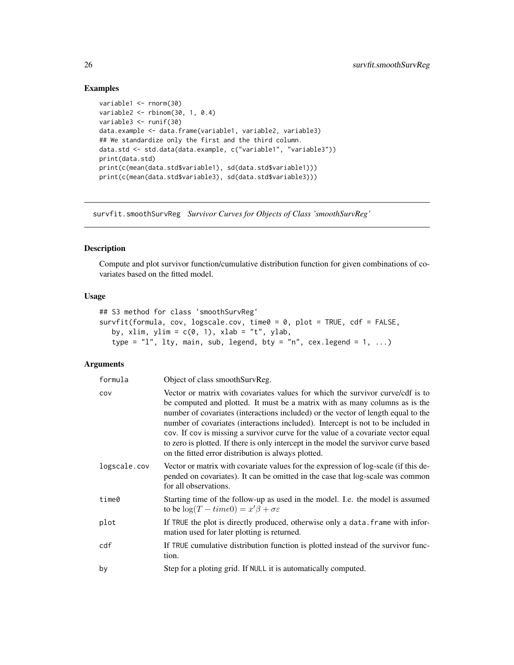#### Examples

```
variable1 <- rnorm(30)
variable2 <- rbinom(30, 1, 0.4)
variable3 <- runif(30)
data.example <- data.frame(variable1, variable2, variable3)
## We standardize only the first and the third column.
data.std <- std.data(data.example, c("variable1", "variable3"))
print(data.std)
print(c(mean(data.std$variable1), sd(data.std$variable1)))
print(c(mean(data.std$variable3), sd(data.std$variable3)))
```
survfit.smoothSurvReg *Survivor Curves for Objects of Class 'smoothSurvReg'*

# Description

Compute and plot survivor function/cumulative distribution function for given combinations of covariates based on the fitted model.

#### Usage

```
## S3 method for class 'smoothSurvReg'
survfit(formula, cov, logscale.cov, time0 = 0, plot = TRUE, cdf = FALSE,
   by, xlim, ylim = c(0, 1), xlab = "t", ylab,
   type = "l", lty, main, sub, legend, bty = "n", cex.legend = 1, ...)
```

| formula      | Object of class smoothSurvReg.                                                                                                                                                                                                                                                                                                                                                                                                                                                                                                                                             |
|--------------|----------------------------------------------------------------------------------------------------------------------------------------------------------------------------------------------------------------------------------------------------------------------------------------------------------------------------------------------------------------------------------------------------------------------------------------------------------------------------------------------------------------------------------------------------------------------------|
| COV          | Vector or matrix with covariates values for which the survivor curve/cdf is to<br>be computed and plotted. It must be a matrix with as many columns as is the<br>number of covariates (interactions included) or the vector of length equal to the<br>number of covariates (interactions included). Intercept is not to be included in<br>cov. If cov is missing a survivor curve for the value of a covariate vector equal<br>to zero is plotted. If there is only intercept in the model the survivor curve based<br>on the fitted error distribution is always plotted. |
| logscale.cov | Vector or matrix with covariate values for the expression of log-scale (if this de-<br>pended on covariates). It can be omitted in the case that log-scale was common<br>for all observations.                                                                                                                                                                                                                                                                                                                                                                             |
| time0        | Starting time of the follow-up as used in the model. I.e. the model is assumed<br>to be $\log(T - time0) = x'\beta + \sigma \varepsilon$                                                                                                                                                                                                                                                                                                                                                                                                                                   |
| plot         | If TRUE the plot is directly produced, otherwise only a data. frame with infor-<br>mation used for later plotting is returned.                                                                                                                                                                                                                                                                                                                                                                                                                                             |
| cdf          | If TRUE cumulative distribution function is plotted instead of the survivor func-<br>tion.                                                                                                                                                                                                                                                                                                                                                                                                                                                                                 |
| by           | Step for a ploting grid. If NULL it is automatically computed.                                                                                                                                                                                                                                                                                                                                                                                                                                                                                                             |

<span id="page-25-0"></span>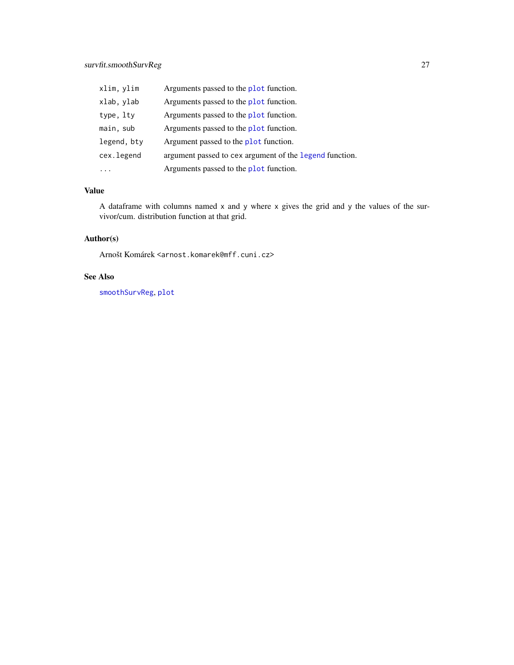<span id="page-26-0"></span>

| xlim, ylim  | Arguments passed to the plot function.                  |
|-------------|---------------------------------------------------------|
| xlab, ylab  | Arguments passed to the plot function.                  |
| type, lty   | Arguments passed to the plot function.                  |
| main, sub   | Arguments passed to the plot function.                  |
| legend, bty | Argument passed to the plot function.                   |
| cex.legend  | argument passed to cex argument of the legend function. |
|             | Arguments passed to the plot function.                  |

# Value

A dataframe with columns named x and y where x gives the grid and y the values of the survivor/cum. distribution function at that grid.

# Author(s)

Arnošt Komárek <arnost.komarek@mff.cuni.cz>

# See Also

[smoothSurvReg](#page-14-1), [plot](#page-0-0)